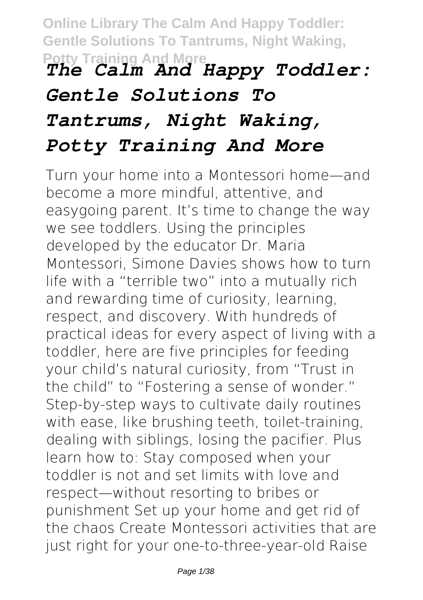**Online Library The Calm And Happy Toddler: Gentle Solutions To Tantrums, Night Waking, Potty Training And More** *The Calm And Happy Toddler:*

# *Gentle Solutions To Tantrums, Night Waking, Potty Training And More*

Turn your home into a Montessori home—and become a more mindful, attentive, and easygoing parent. It's time to change the way we see toddlers. Using the principles developed by the educator Dr. Maria Montessori, Simone Davies shows how to turn life with a "terrible two" into a mutually rich and rewarding time of curiosity, learning, respect, and discovery. With hundreds of practical ideas for every aspect of living with a toddler, here are five principles for feeding your child's natural curiosity, from "Trust in the child" to "Fostering a sense of wonder." Step-by-step ways to cultivate daily routines with ease, like brushing teeth, toilet-training, dealing with siblings, losing the pacifier. Plus learn how to: Stay composed when your toddler is not and set limits with love and respect—without resorting to bribes or punishment Set up your home and get rid of the chaos Create Montessori activities that are just right for your one-to-three-year-old Raise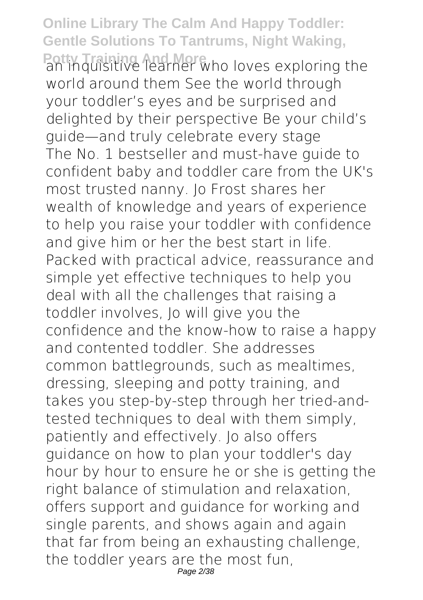Potty Training And Morean and Morean exploring the world around them See the world through your toddler's eyes and be surprised and delighted by their perspective Be your child's guide—and truly celebrate every stage The No. 1 bestseller and must-have guide to confident baby and toddler care from the UK's most trusted nanny. Jo Frost shares her wealth of knowledge and years of experience to help you raise your toddler with confidence and give him or her the best start in life. Packed with practical advice, reassurance and simple yet effective techniques to help you deal with all the challenges that raising a toddler involves, Jo will give you the confidence and the know-how to raise a happy and contented toddler. She addresses common battlegrounds, such as mealtimes, dressing, sleeping and potty training, and takes you step-by-step through her tried-andtested techniques to deal with them simply, patiently and effectively. Jo also offers guidance on how to plan your toddler's day hour by hour to ensure he or she is getting the right balance of stimulation and relaxation, offers support and guidance for working and single parents, and shows again and again that far from being an exhausting challenge, the toddler years are the most fun, Page 2/38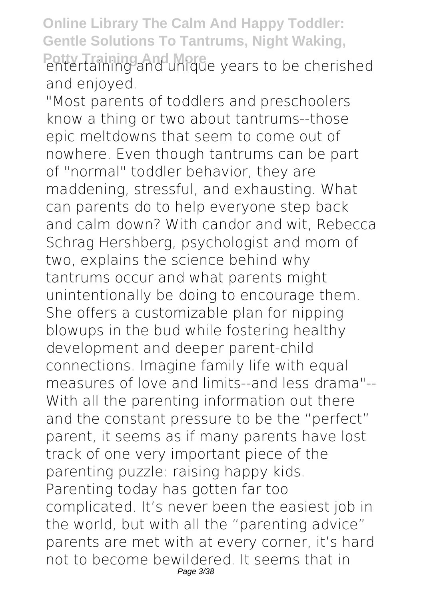Potty Training And More<br>entertaining and unique years to be cherished and enjoyed.

"Most parents of toddlers and preschoolers know a thing or two about tantrums--those epic meltdowns that seem to come out of nowhere. Even though tantrums can be part of "normal" toddler behavior, they are maddening, stressful, and exhausting. What can parents do to help everyone step back and calm down? With candor and wit, Rebecca Schrag Hershberg, psychologist and mom of two, explains the science behind why tantrums occur and what parents might unintentionally be doing to encourage them. She offers a customizable plan for nipping blowups in the bud while fostering healthy development and deeper parent-child connections. Imagine family life with equal measures of love and limits--and less drama"-- With all the parenting information out there and the constant pressure to be the "perfect" parent, it seems as if many parents have lost track of one very important piece of the parenting puzzle: raising happy kids. Parenting today has gotten far too complicated. It's never been the easiest job in the world, but with all the "parenting advice" parents are met with at every corner, it's hard not to become bewildered. It seems that in Page 3/38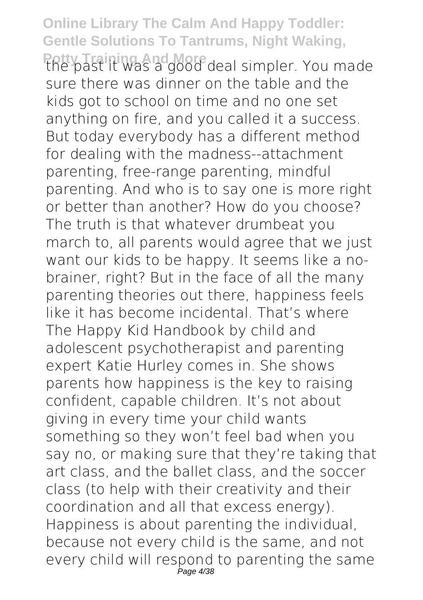Potty Training And More deal simpler. You made sure there was dinner on the table and the kids got to school on time and no one set anything on fire, and you called it a success. But today everybody has a different method for dealing with the madness--attachment parenting, free-range parenting, mindful parenting. And who is to say one is more right or better than another? How do you choose? The truth is that whatever drumbeat you march to, all parents would agree that we just want our kids to be happy. It seems like a nobrainer, right? But in the face of all the many parenting theories out there, happiness feels like it has become incidental. That's where The Happy Kid Handbook by child and adolescent psychotherapist and parenting expert Katie Hurley comes in. She shows parents how happiness is the key to raising confident, capable children. It's not about giving in every time your child wants something so they won't feel bad when you say no, or making sure that they're taking that art class, and the ballet class, and the soccer class (to help with their creativity and their coordination and all that excess energy). Happiness is about parenting the individual, because not every child is the same, and not every child will respond to parenting the same Page 4/38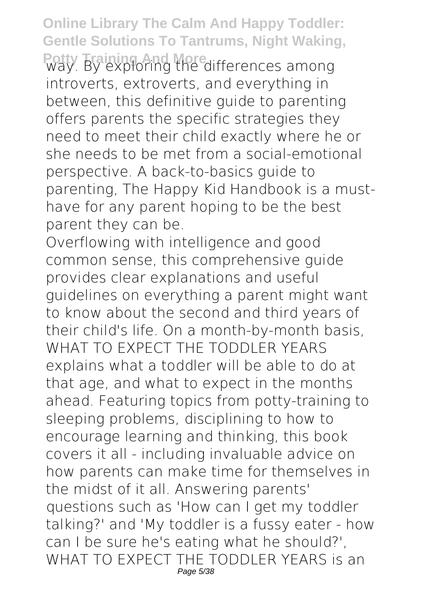Potty. By exploring the differences among introverts, extroverts, and everything in between, this definitive guide to parenting offers parents the specific strategies they need to meet their child exactly where he or she needs to be met from a social-emotional perspective. A back-to-basics guide to parenting, The Happy Kid Handbook is a musthave for any parent hoping to be the best parent they can be.

Overflowing with intelligence and good common sense, this comprehensive guide provides clear explanations and useful guidelines on everything a parent might want to know about the second and third years of their child's life. On a month-by-month basis, WHAT TO EXPECT THE TODDLER YEARS explains what a toddler will be able to do at that age, and what to expect in the months ahead. Featuring topics from potty-training to sleeping problems, disciplining to how to encourage learning and thinking, this book covers it all - including invaluable advice on how parents can make time for themselves in the midst of it all. Answering parents' questions such as 'How can I get my toddler talking?' and 'My toddler is a fussy eater - how can I be sure he's eating what he should?', WHAT TO EXPECT THE TODDLER YEARS is an Page 5/38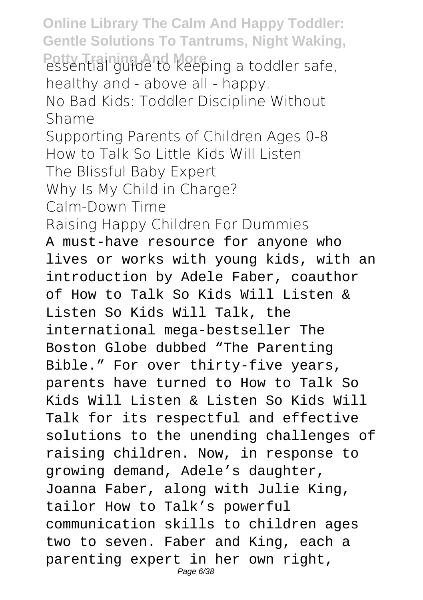**Online Library The Calm And Happy Toddler: Gentle Solutions To Tantrums, Night Waking,** Potty Training And Keeping a toddler safe, healthy and - above all - happy. No Bad Kids: Toddler Discipline Without Shame Supporting Parents of Children Ages 0-8 How to Talk So Little Kids Will Listen The Blissful Baby Expert Why Is My Child in Charge? Calm-Down Time Raising Happy Children For Dummies A must-have resource for anyone who lives or works with young kids, with an introduction by Adele Faber, coauthor of How to Talk So Kids Will Listen & Listen So Kids Will Talk, the international mega-bestseller The Boston Globe dubbed "The Parenting Bible." For over thirty-five years, parents have turned to How to Talk So Kids Will Listen & Listen So Kids Will Talk for its respectful and effective solutions to the unending challenges of raising children. Now, in response to growing demand, Adele's daughter, Joanna Faber, along with Julie King, tailor How to Talk's powerful communication skills to children ages two to seven. Faber and King, each a parenting expert in her own right, Page 6/38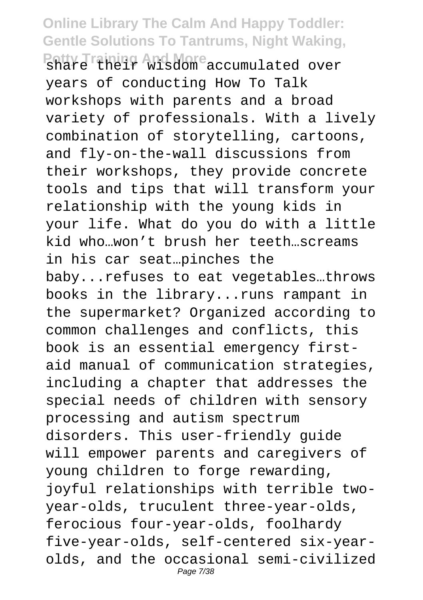#### **Online Library The Calm And Happy Toddler: Gentle Solutions To Tantrums, Night Waking,** Potty Training And More<br>share their wisdom accumulated over

years of conducting How To Talk workshops with parents and a broad variety of professionals. With a lively combination of storytelling, cartoons, and fly-on-the-wall discussions from their workshops, they provide concrete tools and tips that will transform your relationship with the young kids in your life. What do you do with a little kid who…won't brush her teeth…screams in his car seat…pinches the baby...refuses to eat vegetables…throws books in the library...runs rampant in the supermarket? Organized according to common challenges and conflicts, this book is an essential emergency firstaid manual of communication strategies, including a chapter that addresses the special needs of children with sensory processing and autism spectrum disorders. This user-friendly guide will empower parents and caregivers of young children to forge rewarding, joyful relationships with terrible twoyear-olds, truculent three-year-olds, ferocious four-year-olds, foolhardy five-year-olds, self-centered six-yearolds, and the occasional semi-civilized Page 7/38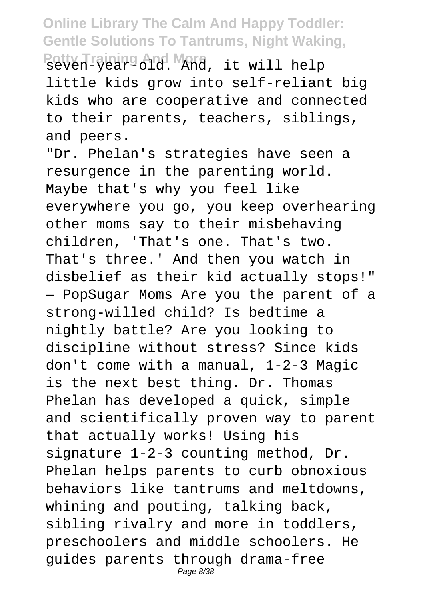**Potty Training And More** seven-year-old. And, it will help little kids grow into self-reliant big kids who are cooperative and connected to their parents, teachers, siblings, and peers.

"Dr. Phelan's strategies have seen a resurgence in the parenting world. Maybe that's why you feel like everywhere you go, you keep overhearing other moms say to their misbehaving children, 'That's one. That's two. That's three.' And then you watch in disbelief as their kid actually stops!" — PopSugar Moms Are you the parent of a strong-willed child? Is bedtime a nightly battle? Are you looking to discipline without stress? Since kids don't come with a manual, 1-2-3 Magic is the next best thing. Dr. Thomas Phelan has developed a quick, simple and scientifically proven way to parent that actually works! Using his signature 1-2-3 counting method, Dr. Phelan helps parents to curb obnoxious behaviors like tantrums and meltdowns, whining and pouting, talking back, sibling rivalry and more in toddlers, preschoolers and middle schoolers. He guides parents through drama-free Page 8/38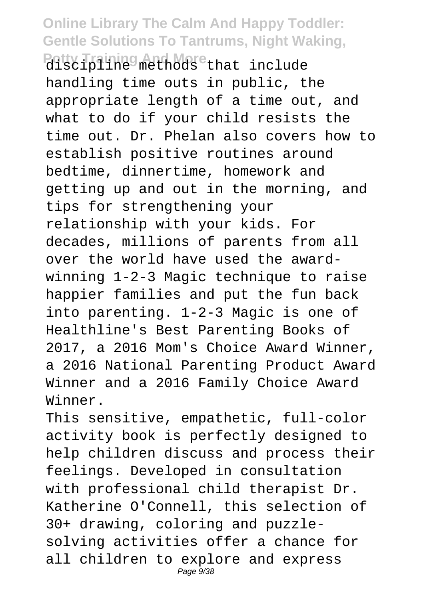Potty Training And More<br>discipline methods that include handling time outs in public, the appropriate length of a time out, and what to do if your child resists the time out. Dr. Phelan also covers how to establish positive routines around bedtime, dinnertime, homework and getting up and out in the morning, and tips for strengthening your relationship with your kids. For decades, millions of parents from all over the world have used the awardwinning 1-2-3 Magic technique to raise happier families and put the fun back into parenting. 1-2-3 Magic is one of Healthline's Best Parenting Books of 2017, a 2016 Mom's Choice Award Winner, a 2016 National Parenting Product Award Winner and a 2016 Family Choice Award Winner.

This sensitive, empathetic, full-color activity book is perfectly designed to help children discuss and process their feelings. Developed in consultation with professional child therapist Dr. Katherine O'Connell, this selection of 30+ drawing, coloring and puzzlesolving activities offer a chance for all children to explore and express Page  $9/38$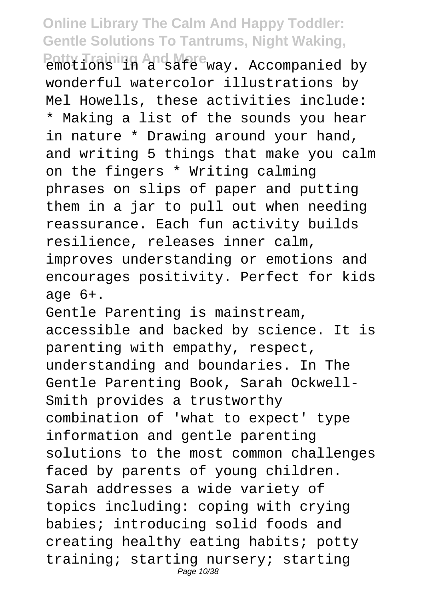Potty Training And More<br>emotions in a safe way. Accompanied by wonderful watercolor illustrations by Mel Howells, these activities include: \* Making a list of the sounds you hear in nature \* Drawing around your hand, and writing 5 things that make you calm on the fingers \* Writing calming phrases on slips of paper and putting them in a jar to pull out when needing reassurance. Each fun activity builds resilience, releases inner calm, improves understanding or emotions and encourages positivity. Perfect for kids age  $6+$ .

Gentle Parenting is mainstream, accessible and backed by science. It is parenting with empathy, respect, understanding and boundaries. In The Gentle Parenting Book, Sarah Ockwell-Smith provides a trustworthy combination of 'what to expect' type information and gentle parenting solutions to the most common challenges faced by parents of young children. Sarah addresses a wide variety of topics including: coping with crying babies; introducing solid foods and creating healthy eating habits; potty training; starting nursery; starting Page 10/38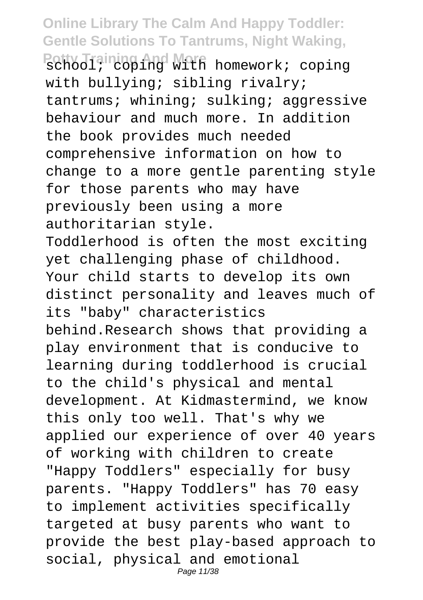Potty Training And Walfi homework; coping with bullying; sibling rivalry; tantrums; whining; sulking; aggressive behaviour and much more. In addition the book provides much needed comprehensive information on how to change to a more gentle parenting style for those parents who may have previously been using a more authoritarian style.

Toddlerhood is often the most exciting yet challenging phase of childhood. Your child starts to develop its own distinct personality and leaves much of its "baby" characteristics behind.Research shows that providing a play environment that is conducive to learning during toddlerhood is crucial to the child's physical and mental development. At Kidmastermind, we know this only too well. That's why we applied our experience of over 40 years of working with children to create "Happy Toddlers" especially for busy

parents. "Happy Toddlers" has 70 easy to implement activities specifically targeted at busy parents who want to provide the best play-based approach to social, physical and emotional Page 11/38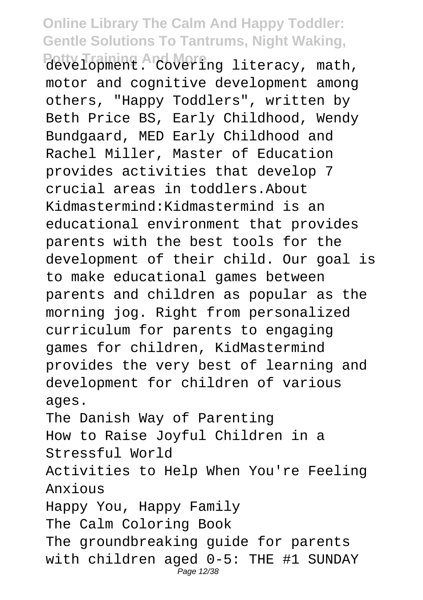Potty Training And More<br>development. Covering literacy, math, motor and cognitive development among others, "Happy Toddlers", written by Beth Price BS, Early Childhood, Wendy Bundgaard, MED Early Childhood and Rachel Miller, Master of Education provides activities that develop 7 crucial areas in toddlers.About Kidmastermind:Kidmastermind is an educational environment that provides parents with the best tools for the development of their child. Our goal is to make educational games between parents and children as popular as the morning jog. Right from personalized curriculum for parents to engaging games for children, KidMastermind provides the very best of learning and development for children of various ages. The Danish Way of Parenting How to Raise Joyful Children in a Stressful World Activities to Help When You're Feeling Anxious Happy You, Happy Family The Calm Coloring Book

The groundbreaking quide for parents with children aged 0-5: THE #1 SUNDAY Page 12/38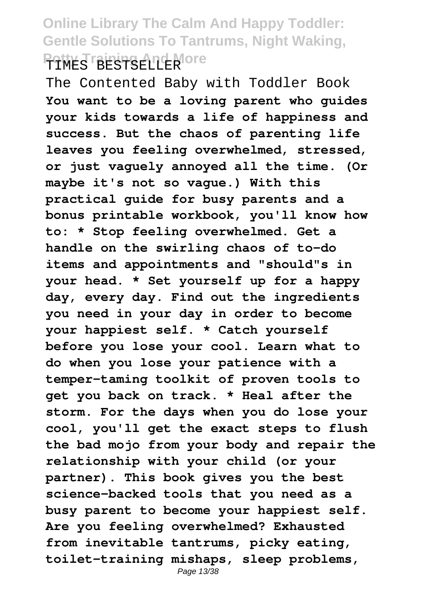#### **Online Library The Calm And Happy Toddler: Gentle Solutions To Tantrums, Night Waking, Potty Training And More**

The Contented Baby with Toddler Book **You want to be a loving parent who guides your kids towards a life of happiness and success. But the chaos of parenting life leaves you feeling overwhelmed, stressed, or just vaguely annoyed all the time. (Or maybe it's not so vague.) With this practical guide for busy parents and a bonus printable workbook, you'll know how to: \* Stop feeling overwhelmed. Get a handle on the swirling chaos of to-do items and appointments and "should"s in your head. \* Set yourself up for a happy day, every day. Find out the ingredients you need in your day in order to become your happiest self. \* Catch yourself before you lose your cool. Learn what to do when you lose your patience with a temper-taming toolkit of proven tools to get you back on track. \* Heal after the storm. For the days when you do lose your cool, you'll get the exact steps to flush the bad mojo from your body and repair the relationship with your child (or your partner). This book gives you the best science-backed tools that you need as a busy parent to become your happiest self. Are you feeling overwhelmed? Exhausted from inevitable tantrums, picky eating, toilet-training mishaps, sleep problems,** Page 13/38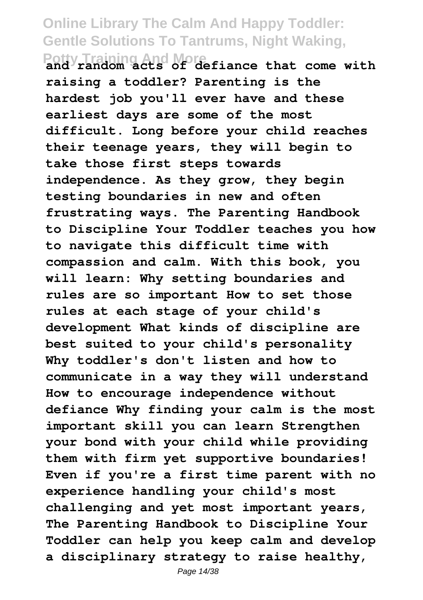**Potty Training And More and random acts of defiance that come with raising a toddler? Parenting is the hardest job you'll ever have and these earliest days are some of the most difficult. Long before your child reaches their teenage years, they will begin to take those first steps towards independence. As they grow, they begin testing boundaries in new and often frustrating ways. The Parenting Handbook to Discipline Your Toddler teaches you how to navigate this difficult time with compassion and calm. With this book, you will learn: Why setting boundaries and rules are so important How to set those rules at each stage of your child's development What kinds of discipline are best suited to your child's personality Why toddler's don't listen and how to communicate in a way they will understand How to encourage independence without defiance Why finding your calm is the most important skill you can learn Strengthen your bond with your child while providing them with firm yet supportive boundaries! Even if you're a first time parent with no experience handling your child's most challenging and yet most important years, The Parenting Handbook to Discipline Your Toddler can help you keep calm and develop a disciplinary strategy to raise healthy,**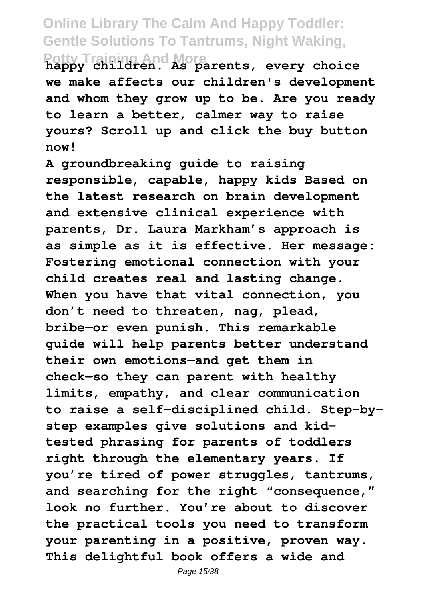**Potty Training And More happy children. As parents, every choice we make affects our children's development and whom they grow up to be. Are you ready to learn a better, calmer way to raise yours? Scroll up and click the buy button now!**

**A groundbreaking guide to raising responsible, capable, happy kids Based on the latest research on brain development and extensive clinical experience with parents, Dr. Laura Markham's approach is as simple as it is effective. Her message: Fostering emotional connection with your child creates real and lasting change. When you have that vital connection, you don't need to threaten, nag, plead, bribe—or even punish. This remarkable guide will help parents better understand their own emotions—and get them in check—so they can parent with healthy limits, empathy, and clear communication to raise a self-disciplined child. Step-bystep examples give solutions and kidtested phrasing for parents of toddlers right through the elementary years. If you're tired of power struggles, tantrums, and searching for the right "consequence," look no further. You're about to discover the practical tools you need to transform your parenting in a positive, proven way. This delightful book offers a wide and**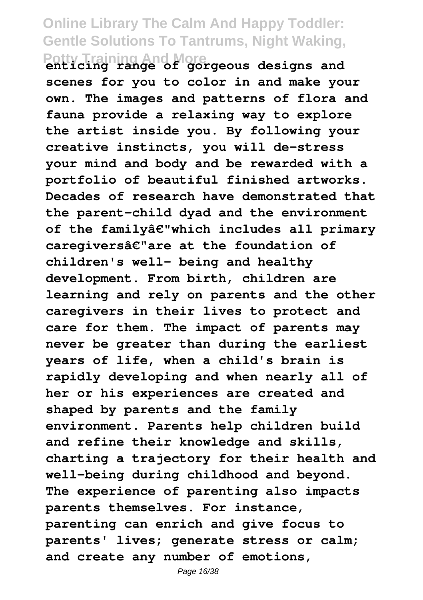**Potty Training And More enticing range of gorgeous designs and scenes for you to color in and make your own. The images and patterns of flora and fauna provide a relaxing way to explore the artist inside you. By following your creative instincts, you will de-stress your mind and body and be rewarded with a portfolio of beautiful finished artworks. Decades of research have demonstrated that the parent-child dyad and the environment of the familyâ€"which includes all primary caregiversâ€"are at the foundation of children's well- being and healthy development. From birth, children are learning and rely on parents and the other caregivers in their lives to protect and care for them. The impact of parents may never be greater than during the earliest years of life, when a child's brain is rapidly developing and when nearly all of her or his experiences are created and shaped by parents and the family environment. Parents help children build and refine their knowledge and skills, charting a trajectory for their health and well-being during childhood and beyond. The experience of parenting also impacts parents themselves. For instance, parenting can enrich and give focus to parents' lives; generate stress or calm; and create any number of emotions,**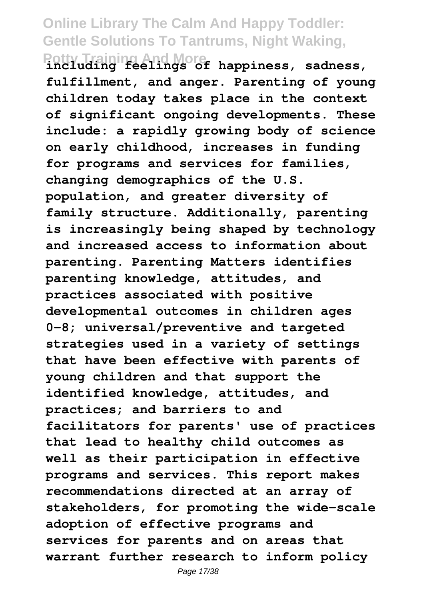**Potty Training And More including feelings of happiness, sadness, fulfillment, and anger. Parenting of young children today takes place in the context of significant ongoing developments. These include: a rapidly growing body of science on early childhood, increases in funding for programs and services for families, changing demographics of the U.S. population, and greater diversity of family structure. Additionally, parenting is increasingly being shaped by technology and increased access to information about parenting. Parenting Matters identifies parenting knowledge, attitudes, and practices associated with positive developmental outcomes in children ages 0-8; universal/preventive and targeted strategies used in a variety of settings that have been effective with parents of young children and that support the identified knowledge, attitudes, and practices; and barriers to and facilitators for parents' use of practices that lead to healthy child outcomes as well as their participation in effective programs and services. This report makes recommendations directed at an array of stakeholders, for promoting the wide-scale adoption of effective programs and services for parents and on areas that warrant further research to inform policy**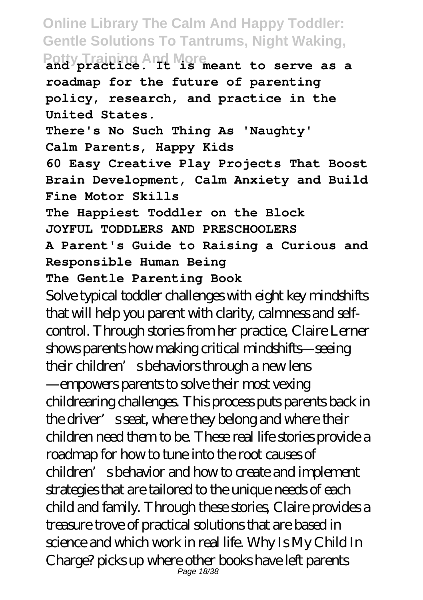**Potty Training And More and practice. It is meant to serve as a roadmap for the future of parenting policy, research, and practice in the United States. There's No Such Thing As 'Naughty' Calm Parents, Happy Kids 60 Easy Creative Play Projects That Boost Brain Development, Calm Anxiety and Build Fine Motor Skills The Happiest Toddler on the Block JOYFUL TODDLERS AND PRESCHOOLERS A Parent's Guide to Raising a Curious and Responsible Human Being The Gentle Parenting Book** Solve typical toddler challenges with eight key mindshifts that will help you parent with clarity, calmness and selfcontrol. Through stories from her practice, Claire Lerner shows parents how making critical mindshifts—seeing their children's behaviors through a new lens —empowers parents to solve their most vexing childrearing challenges. This process puts parents back in the driver's seat, where they belong and where their children need them to be. These real life stories provide a roadmap for how to tune into the root causes of children's behavior and how to create and implement strategies that are tailored to the unique needs of each child and family. Through these stories, Claire provides a treasure trove of practical solutions that are based in science and which work in real life. Why Is My Child In Charge? picks up where other books have left parents Page 18/38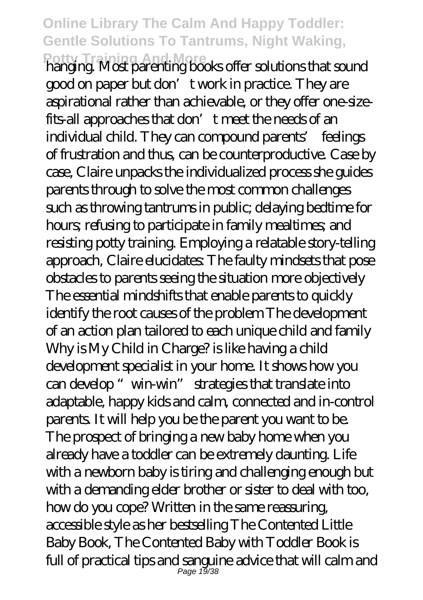**Potty Training And More** hanging. Most parenting books offer solutions that sound good on paper but don't work in practice. They are aspirational rather than achievable, or they offer one-sizefits-all approaches that don't meet the needs of an individual child. They can compound parents' feelings of frustration and thus, can be counterproductive. Case by case, Claire unpacks the individualized process she guides parents through to solve the most common challenges such as throwing tantrums in public; delaying bedtime for hours; refusing to participate in family mealtimes; and resisting potty training. Employing a relatable story-telling approach, Claire elucidates: The faulty mindsets that pose obstacles to parents seeing the situation more objectively The essential mindshifts that enable parents to quickly identify the root causes of the problem The development of an action plan tailored to each unique child and family Why is My Child in Charge? is like having a child development specialist in your home. It shows how you can develop "win-win" strategies that translate into adaptable, happy kids and calm, connected and in-control parents. It will help you be the parent you want to be. The prospect of bringing a new baby home when you already have a toddler can be extremely daunting. Life with a newborn baby is tiring and challenging enough but with a demanding elder brother or sister to deal with too, how do you cope? Written in the same reassuring, accessible style as her bestselling The Contented Little Baby Book, The Contented Baby with Toddler Book is full of practical tips and sanguine advice that will calm and Page 19/38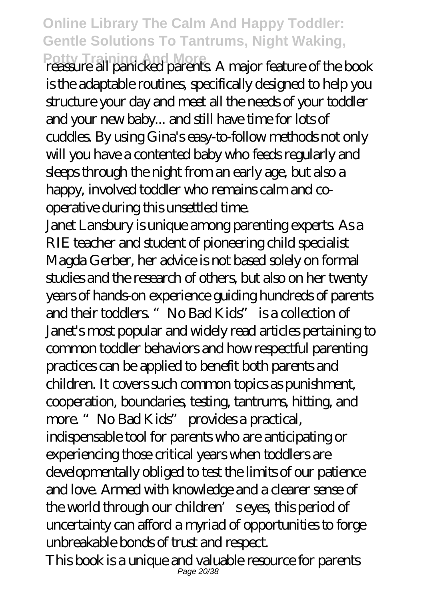**Potty Training And More** reassure all panicked parents. A major feature of the book is the adaptable routines, specifically designed to help you structure your day and meet all the needs of your toddler and your new baby... and still have time for lots of cuddles. By using Gina's easy-to-follow methods not only will you have a contented baby who feeds regularly and sleeps through the night from an early age, but also a happy, involved toddler who remains calm and cooperative during this unsettled time.

Janet Lansbury is unique among parenting experts. As a RIE teacher and student of pioneering child specialist Magda Gerber, her advice is not based solely on formal studies and the research of others, but also on her twenty years of hands-on experience guiding hundreds of parents and their toddlers. "No Bad Kids" is a collection of Janet's most popular and widely read articles pertaining to common toddler behaviors and how respectful parenting practices can be applied to benefit both parents and children. It covers such common topics as punishment, cooperation, boundaries, testing, tantrums, hitting, and more. "No Bad Kids" provides a practical, indispensable tool for parents who are anticipating or experiencing those critical years when toddlers are developmentally obliged to test the limits of our patience and love. Armed with knowledge and a clearer sense of the world through our children's eyes, this period of uncertainty can afford a myriad of opportunities to forge unbreakable bonds of trust and respect.

This book is a unique and valuable resource for parents Page 20/38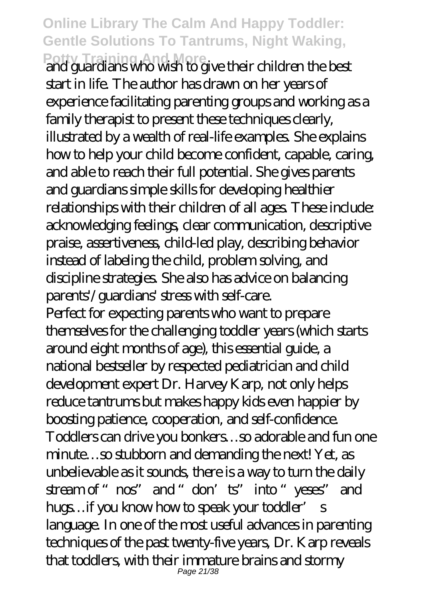**Potty Training And More** and guardians who wish to give their children the best start in life. The author has drawn on her years of experience facilitating parenting groups and working as a family therapist to present these techniques clearly, illustrated by a wealth of real-life examples. She explains how to help your child become confident, capable, caring, and able to reach their full potential. She gives parents and guardians simple skills for developing healthier relationships with their children of all ages. These include: acknowledging feelings, clear communication, descriptive praise, assertiveness, child-led play, describing behavior instead of labeling the child, problem solving, and discipline strategies. She also has advice on balancing parents'/guardians' stress with self-care. Perfect for expecting parents who want to prepare themselves for the challenging toddler years (which starts around eight months of age), this essential guide, a national bestseller by respected pediatrician and child development expert Dr. Harvey Karp, not only helps reduce tantrums but makes happy kids even happier by boosting patience, cooperation, and self-confidence. Toddlers can drive you bonkers…so adorable and fun one minute…so stubborn and demanding the next! Yet, as unbelievable as it sounds, there is a way to turn the daily stream of "nos" and "don'ts" into "yeses" and hugs…if you know how to speak your toddler' s language. In one of the most useful advances in parenting techniques of the past twenty-five years, Dr. Karp reveals that toddlers, with their immature brains and stormy Page 21/38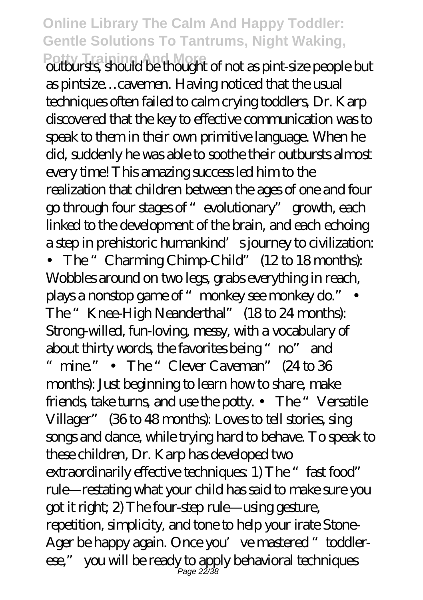**Potty Training And More** outbursts, should be thought of not as pint-size people but as pintsize…cavemen. Having noticed that the usual techniques often failed to calm crying toddlers, Dr. Karp discovered that the key to effective communication was to speak to them in their own primitive language. When he did, suddenly he was able to soothe their outbursts almost every time! This amazing success led him to the realization that children between the ages of one and four go through four stages of "evolutionary" growth, each linked to the development of the brain, and each echoing a step in prehistoric humankind's journey to civilization: • The "Charming Chimp-Child" (12 to 18 months): Wobbles around on two legs, grabs everything in reach, plays a nonstop game of "monkey see monkey do." The "Knee-High Neanderthal" (18 to 24 months): Strong-willed, fun-loving, messy, with a vocabulary of about thirty words, the favorites being "no" and " mine." • The "Clever Caveman" (24 to 36 months): Just beginning to learn how to share, make friends, take turns, and use the potty. • The "Versatile Villager" (36 to 48 months): Loves to tell stories, sing songs and dance, while trying hard to behave. To speak to these children, Dr. Karp has developed two extraordinarily effective techniques: 1) The "fast food" rule—restating what your child has said to make sure you got it right; 2) The four-step rule—using gesture, repetition, simplicity, and tone to help your irate Stone-Ager be happy again. Once you've mastered "toddlerese," you will be ready to apply behavioral techniques Page 22/38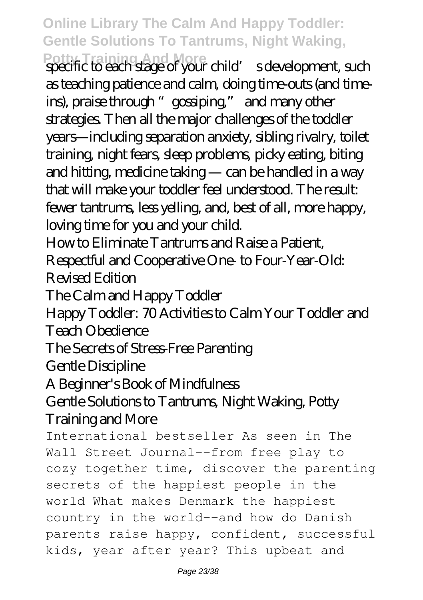Potty Training And More<br>specific to each stage of your child' s development, such as teaching patience and calm, doing time-outs (and timeins), praise through "gossiping," and many other strategies. Then all the major challenges of the toddler years—including separation anxiety, sibling rivalry, toilet training, night fears, sleep problems, picky eating, biting and hitting, medicine taking — can be handled in a way that will make your toddler feel understood. The result: fewer tantrums, less yelling, and, best of all, more happy, loving time for you and your child.

How to Eliminate Tantrums and Raise a Patient,

Respectful and Cooperative One- to Four-Year-Old: Revised Edition

The Calm and Happy Toddler

Happy Toddler: 70 Activities to Calm Your Toddler and Teach Obedience

The Secrets of Stress-Free Parenting

Gentle Discipline

A Beginner's Book of Mindfulness

#### Gentle Solutions to Tantrums, Night Waking, Potty Training and More

International bestseller As seen in The Wall Street Journal--from free play to cozy together time, discover the parenting secrets of the happiest people in the world What makes Denmark the happiest country in the world--and how do Danish parents raise happy, confident, successful kids, year after year? This upbeat and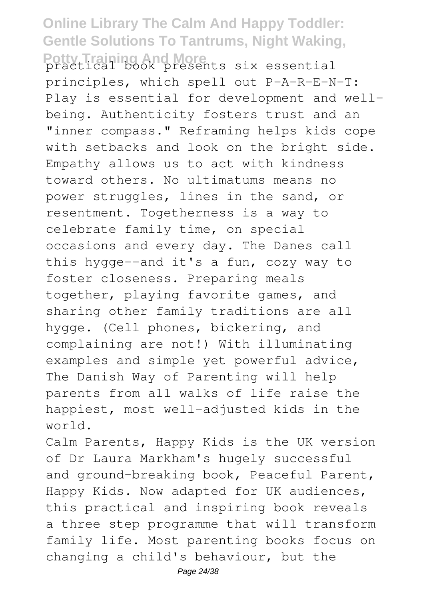#### **Online Library The Calm And Happy Toddler: Gentle Solutions To Tantrums, Night Waking,** Potty Training And More<br>practical book presents six essential

principles, which spell out P-A-R-E-N-T: Play is essential for development and wellbeing. Authenticity fosters trust and an "inner compass." Reframing helps kids cope with setbacks and look on the bright side. Empathy allows us to act with kindness toward others. No ultimatums means no power struggles, lines in the sand, or resentment. Togetherness is a way to celebrate family time, on special occasions and every day. The Danes call this hygge--and it's a fun, cozy way to foster closeness. Preparing meals together, playing favorite games, and sharing other family traditions are all hygge. (Cell phones, bickering, and complaining are not!) With illuminating examples and simple yet powerful advice, The Danish Way of Parenting will help parents from all walks of life raise the happiest, most well-adjusted kids in the world.

Calm Parents, Happy Kids is the UK version of Dr Laura Markham's hugely successful and ground-breaking book, Peaceful Parent, Happy Kids. Now adapted for UK audiences, this practical and inspiring book reveals a three step programme that will transform family life. Most parenting books focus on changing a child's behaviour, but the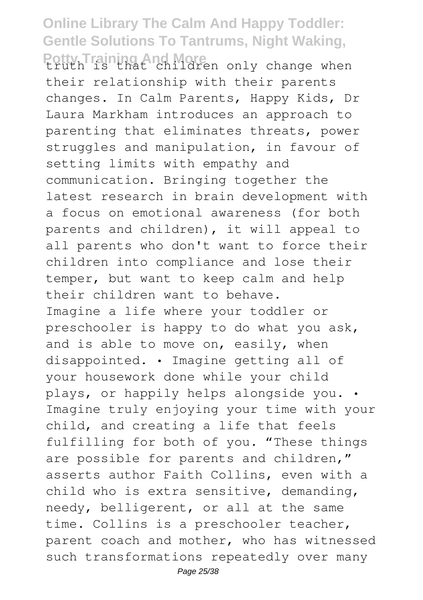Potty Training And More<br>truth is that children only change when their relationship with their parents changes. In Calm Parents, Happy Kids, Dr Laura Markham introduces an approach to parenting that eliminates threats, power struggles and manipulation, in favour of setting limits with empathy and communication. Bringing together the latest research in brain development with a focus on emotional awareness (for both parents and children), it will appeal to all parents who don't want to force their children into compliance and lose their temper, but want to keep calm and help their children want to behave. Imagine a life where your toddler or preschooler is happy to do what you ask, and is able to move on, easily, when disappointed. • Imagine getting all of your housework done while your child plays, or happily helps alongside you. • Imagine truly enjoying your time with your child, and creating a life that feels fulfilling for both of you. "These things are possible for parents and children," asserts author Faith Collins, even with a child who is extra sensitive, demanding, needy, belligerent, or all at the same time. Collins is a preschooler teacher, parent coach and mother, who has witnessed such transformations repeatedly over many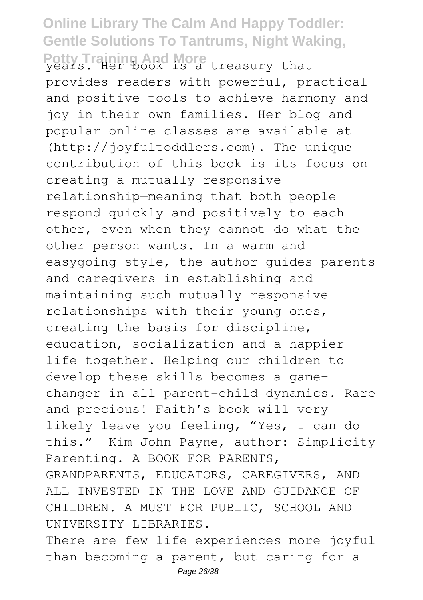#### **Online Library The Calm And Happy Toddler: Gentle Solutions To Tantrums, Night Waking,** Potty Training And More treasury that

provides readers with powerful, practical and positive tools to achieve harmony and joy in their own families. Her blog and popular online classes are available at (http://joyfultoddlers.com). The unique contribution of this book is its focus on creating a mutually responsive relationship—meaning that both people respond quickly and positively to each other, even when they cannot do what the other person wants. In a warm and easygoing style, the author guides parents and caregivers in establishing and maintaining such mutually responsive relationships with their young ones, creating the basis for discipline, education, socialization and a happier life together. Helping our children to develop these skills becomes a gamechanger in all parent-child dynamics. Rare and precious! Faith's book will very likely leave you feeling, "Yes, I can do this." —Kim John Payne, author: Simplicity Parenting. A BOOK FOR PARENTS, GRANDPARENTS, EDUCATORS, CAREGIVERS, AND ALL INVESTED IN THE LOVE AND GUIDANCE OF CHILDREN. A MUST FOR PUBLIC, SCHOOL AND UNIVERSITY LIBRARIES. There are few life experiences more joyful

than becoming a parent, but caring for a Page 26/38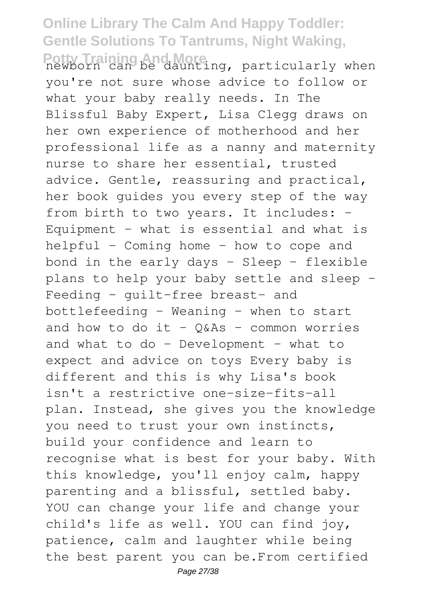#### **Online Library The Calm And Happy Toddler: Gentle Solutions To Tantrums, Night Waking,** Potty Training And More<br>newborn can be daunting, particularly when

you're not sure whose advice to follow or what your baby really needs. In The Blissful Baby Expert, Lisa Clegg draws on her own experience of motherhood and her professional life as a nanny and maternity nurse to share her essential, trusted advice. Gentle, reassuring and practical, her book guides you every step of the way from birth to two years. It includes: -Equipment – what is essential and what is helpful - Coming home – how to cope and bond in the early days  $-$  Sleep  $-$  flexible plans to help your baby settle and sleep - Feeding - guilt-free breast- and bottlefeeding - Weaning – when to start and how to do it -  $Q&A$ s - common worries and what to do - Development – what to expect and advice on toys Every baby is different and this is why Lisa's book isn't a restrictive one-size-fits-all plan. Instead, she gives you the knowledge you need to trust your own instincts, build your confidence and learn to recognise what is best for your baby. With this knowledge, you'll enjoy calm, happy parenting and a blissful, settled baby. YOU can change your life and change your child's life as well. YOU can find joy, patience, calm and laughter while being the best parent you can be.From certified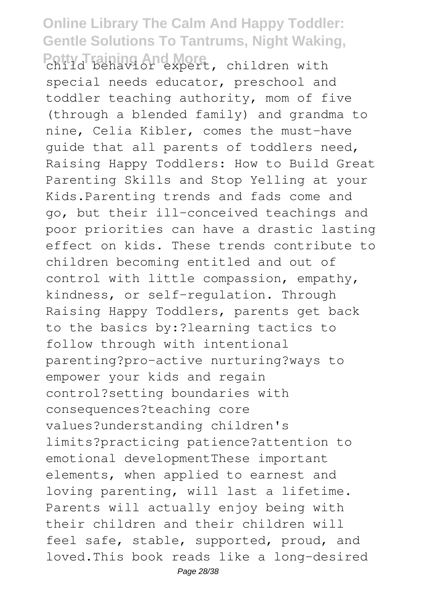Potty Training And More, children with special needs educator, preschool and toddler teaching authority, mom of five (through a blended family) and grandma to nine, Celia Kibler, comes the must-have guide that all parents of toddlers need, Raising Happy Toddlers: How to Build Great Parenting Skills and Stop Yelling at your Kids.Parenting trends and fads come and go, but their ill-conceived teachings and poor priorities can have a drastic lasting effect on kids. These trends contribute to children becoming entitled and out of control with little compassion, empathy, kindness, or self-regulation. Through Raising Happy Toddlers, parents get back to the basics by:?learning tactics to follow through with intentional parenting?pro-active nurturing?ways to empower your kids and regain control?setting boundaries with consequences?teaching core values?understanding children's limits?practicing patience?attention to emotional developmentThese important elements, when applied to earnest and loving parenting, will last a lifetime. Parents will actually enjoy being with their children and their children will feel safe, stable, supported, proud, and loved.This book reads like a long-desired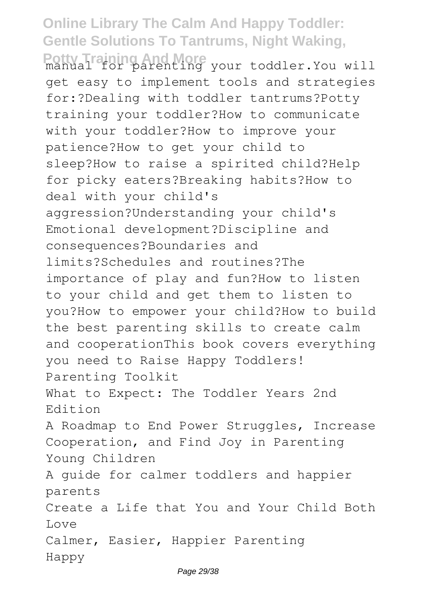**Potty Training And More** manual for parenting your toddler.You will get easy to implement tools and strategies for:?Dealing with toddler tantrums?Potty training your toddler?How to communicate with your toddler?How to improve your patience?How to get your child to sleep?How to raise a spirited child?Help for picky eaters?Breaking habits?How to deal with your child's aggression?Understanding your child's Emotional development?Discipline and consequences?Boundaries and limits?Schedules and routines?The importance of play and fun?How to listen to your child and get them to listen to you?How to empower your child?How to build the best parenting skills to create calm and cooperationThis book covers everything you need to Raise Happy Toddlers! Parenting Toolkit What to Expect: The Toddler Years 2nd Edition A Roadmap to End Power Struggles, Increase Cooperation, and Find Joy in Parenting Young Children A guide for calmer toddlers and happier parents Create a Life that You and Your Child Both Love Calmer, Easier, Happier Parenting Happy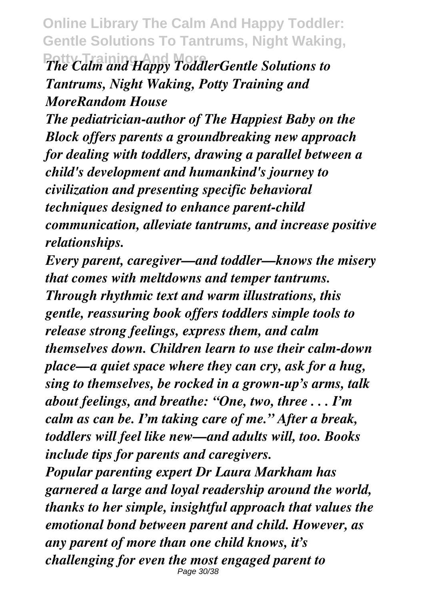*The Calm and Happy ToddlerGentle Solutions to Tantrums, Night Waking, Potty Training and MoreRandom House*

*The pediatrician-author of The Happiest Baby on the Block offers parents a groundbreaking new approach for dealing with toddlers, drawing a parallel between a child's development and humankind's journey to civilization and presenting specific behavioral techniques designed to enhance parent-child communication, alleviate tantrums, and increase positive relationships.*

*Every parent, caregiver—and toddler—knows the misery that comes with meltdowns and temper tantrums. Through rhythmic text and warm illustrations, this gentle, reassuring book offers toddlers simple tools to release strong feelings, express them, and calm themselves down. Children learn to use their calm-down place—a quiet space where they can cry, ask for a hug, sing to themselves, be rocked in a grown-up's arms, talk about feelings, and breathe: "One, two, three . . . I'm calm as can be. I'm taking care of me." After a break, toddlers will feel like new—and adults will, too. Books include tips for parents and caregivers.*

*Popular parenting expert Dr Laura Markham has garnered a large and loyal readership around the world, thanks to her simple, insightful approach that values the emotional bond between parent and child. However, as any parent of more than one child knows, it's challenging for even the most engaged parent to* Page 30/38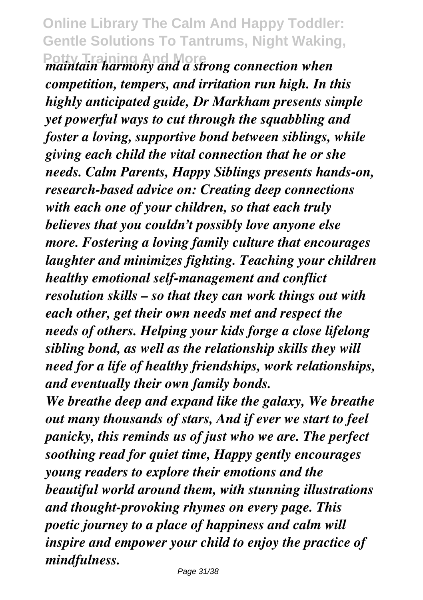#### **Online Library The Calm And Happy Toddler: Gentle Solutions To Tantrums, Night Waking, Potty Training Moreon** *maintain harmony and a strong connection when*

*competition, tempers, and irritation run high. In this highly anticipated guide, Dr Markham presents simple yet powerful ways to cut through the squabbling and foster a loving, supportive bond between siblings, while giving each child the vital connection that he or she needs. Calm Parents, Happy Siblings presents hands-on, research-based advice on: Creating deep connections with each one of your children, so that each truly believes that you couldn't possibly love anyone else more. Fostering a loving family culture that encourages laughter and minimizes fighting. Teaching your children healthy emotional self-management and conflict resolution skills – so that they can work things out with each other, get their own needs met and respect the needs of others. Helping your kids forge a close lifelong sibling bond, as well as the relationship skills they will need for a life of healthy friendships, work relationships, and eventually their own family bonds.*

*We breathe deep and expand like the galaxy, We breathe out many thousands of stars, And if ever we start to feel panicky, this reminds us of just who we are. The perfect soothing read for quiet time, Happy gently encourages young readers to explore their emotions and the beautiful world around them, with stunning illustrations and thought-provoking rhymes on every page. This poetic journey to a place of happiness and calm will inspire and empower your child to enjoy the practice of mindfulness.*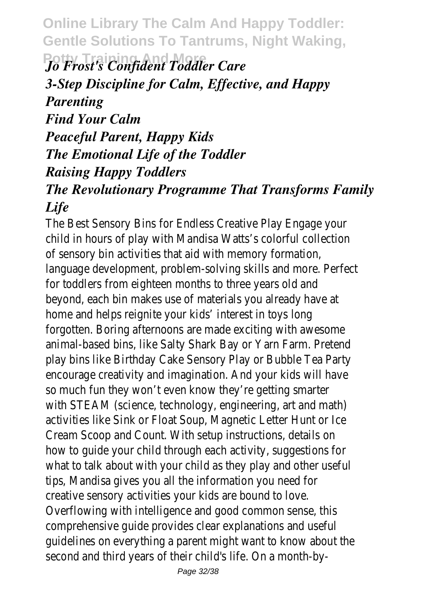$\rho$  Frost's Confident Toddler Care *3-Step Discipline for Calm, Effective, and Happy Parenting Find Your Calm Peaceful Parent, Happy Kids The Emotional Life of the Toddler Raising Happy Toddlers The Revolutionary Programme That Transforms Family*

*Life*

The Best Sensory Bins for Endless Creative I child in hours of play with Mandisa Watts's of sensory bin activities that aid with memor language development, problem-solving skills for toddlers from eighteen months to three beyond, each bin makes use of materials you home and helps reignite your kids' interest in forgotten. Boring afternoons are made excit animal-based bins, like Salty Shark Bay or Yar play bins like Birthday Cake Sensory Play or encourage creativity and imagination. And yo so much fun they won't even know they're with STEAM (science, technology, engineering activities like Sink or Float Soup, Magnetic L Cream Scoop and Count. With setup instruc how to guide your child through each activit what to talk about with your child as they tips, Mandisa gives you all the information y creative sensory activities your kids are bou Overflowing with intelligence and good comm comprehensive guide provides clear explanati quidelines on everything a parent might want second and third years of their child's life. O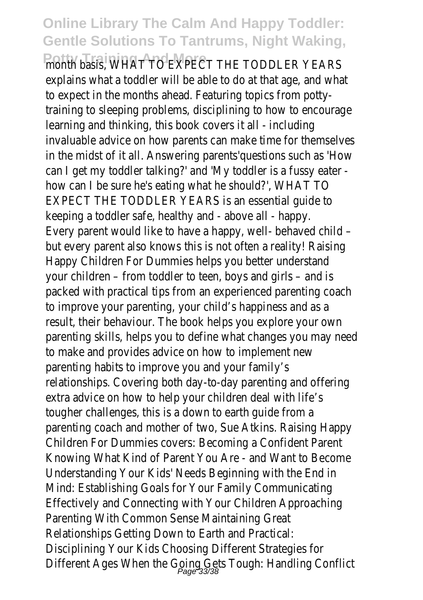Potty Training And MAT TO EXPECT THE TODDLER explains what a toddler will be able to do at to expect in the months ahead. Featuring to training to sleeping problems, disciplining to learning and thinking, this book covers it all invaluable advice on how parents can make t in the midst of it all. Answering parents'questions in can I get my toddler talking?' and 'My toddle how can I be sure he's eating what he shou EXPECT THE TODDLER YEARS is an essential keeping a toddler safe, healthy and - above a Every parent would like to have a happy, we but every parent also knows this is not ofte Happy Children For Dummies helps you bette your children – from toddler to teen, boys and your packed with practical tips from an experiend to improve your parenting, your child's happi result, their behaviour. The book helps you e parenting skills, helps you to define what ch to make and provides advice on how to impl parenting habits to improve you and your fa relationships. Covering both day-to-day pare extra advice on how to help your children de tougher challenges, this is a down to earth parenting coach and mother of two, Sue Atk Children For Dummies covers: Becoming a Co Knowing What Kind of Parent You Are - and Understanding Your Kids' Needs Beginning w Mind: Establishing Goals for Your Family Com Effectively and Connecting with Your Childre Parenting With Common Sense Maintaining ( Relationships Getting Down to Earth and Pra Disciplining Your Kids Choosing Different Stra Different Ages When the Going Gets Tough: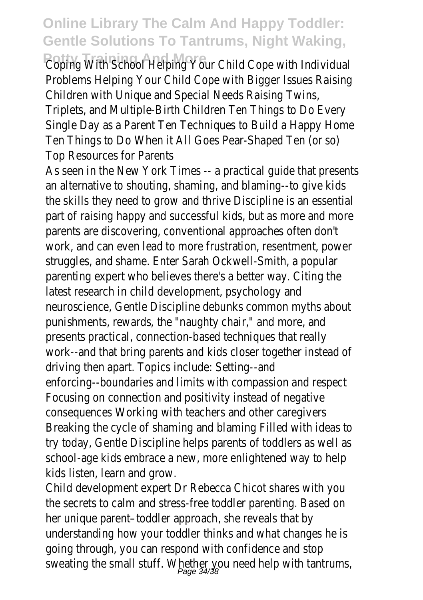**Potty Training With School Helping Your Child Cope** Problems Helping Your Child Cope with Bigge Children with Unique and Special Needs Raising Triplets, and Multiple-Birth Children Ten Thing Single Day as a Parent Ten Techniques to Bu Ten Things to Do When it All Goes Pear-Shap Top Resources for Parents

As seen in the New York Times -- a practical an alternative to shouting, shaming, and blar the skills they need to grow and thrive Disc part of raising happy and successful kids, but parents are discovering, conventional approa work, and can even lead to more frustration struggles, and shame. Enter Sarah Ockwell-S parenting expert who believes there's a bett latest research in child development, psycho neuroscience, Gentle Discipline debunks comi punishments, rewards, the "naughty chair," and more, and more, and more, and more, and more, and more, and mor presents practical, connection-based technic work--and that bring parents and kids close driving then apart. Topics include: Setting--a enforcing--boundaries and limits with compa Focusing on connection and positivity instea consequences Working with teachers and ot Breaking the cycle of shaming and blaming F try today, Gentle Discipline helps parents of school-age kids embrace a new, more enlight kids listen, learn and grow.

Child development expert Dr Rebecca Chicot the secrets to calm and stress-free toddler her unique parent-toddler approach, she reve understanding how your toddler thinks and v going through, you can respond with confide sweating the small stuff. Whether you need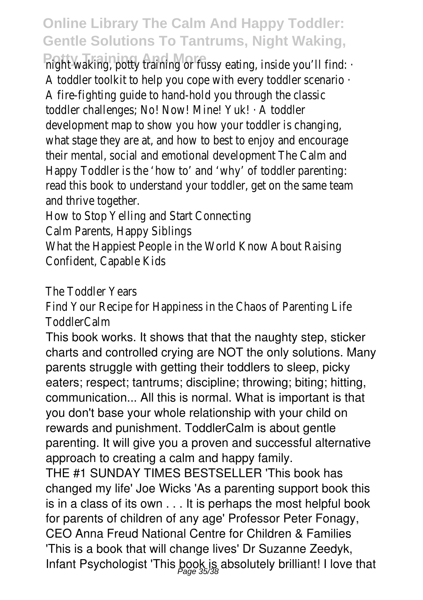Potty Training And More<br>might waking, potty training or fussy eating, A toddler toolkit to help you cope with ever A fire-fighting guide to hand-hold you throud toddler challenges; No! Now! Mine! Yuk! · A t development map to show you how your to what stage they are at, and how to best to their mental, social and emotional developme Happy Toddler is the 'how to' and 'why' of to read this book to understand your toddler, g and thrive together.

How to Stop Yelling and Start Connecting Calm Parents, Happy Siblings What the Happiest People in the World Knoy Confident, Capable Kids

The Toddler Years

Find Your Recipe for Happiness in the Chaos ToddlerCalm

This book works. It shows that that the naughty step, sticker charts and controlled crying are NOT the only solutions. Many parents struggle with getting their toddlers to sleep, picky eaters; respect; tantrums; discipline; throwing; biting; hitting, communication... All this is normal. What is important is that you don't base your whole relationship with your child on rewards and punishment. ToddlerCalm is about gentle parenting. It will give you a proven and successful alternative approach to creating a calm and happy family.

THE #1 SUNDAY TIMES BESTSELLER 'This book has changed my life' Joe Wicks 'As a parenting support book this is in a class of its own . . . It is perhaps the most helpful book for parents of children of any age' Professor Peter Fonagy, CEO Anna Freud National Centre for Children & Families 'This is a book that will change lives' Dr Suzanne Zeedyk, Infant Psychologist 'This book is absolutely brilliant! I love that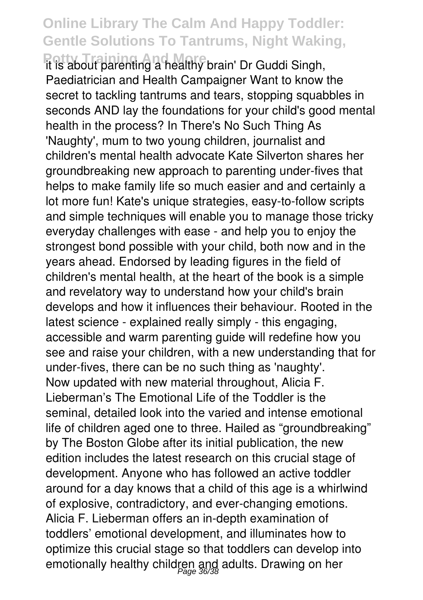**Potty Training And More** it is about parenting a healthy brain' Dr Guddi Singh, Paediatrician and Health Campaigner Want to know the secret to tackling tantrums and tears, stopping squabbles in seconds AND lay the foundations for your child's good mental health in the process? In There's No Such Thing As 'Naughty', mum to two young children, journalist and children's mental health advocate Kate Silverton shares her groundbreaking new approach to parenting under-fives that helps to make family life so much easier and and certainly a lot more fun! Kate's unique strategies, easy-to-follow scripts and simple techniques will enable you to manage those tricky everyday challenges with ease - and help you to enjoy the strongest bond possible with your child, both now and in the years ahead. Endorsed by leading figures in the field of children's mental health, at the heart of the book is a simple and revelatory way to understand how your child's brain develops and how it influences their behaviour. Rooted in the latest science - explained really simply - this engaging, accessible and warm parenting guide will redefine how you see and raise your children, with a new understanding that for under-fives, there can be no such thing as 'naughty'. Now updated with new material throughout, Alicia F. Lieberman's The Emotional Life of the Toddler is the seminal, detailed look into the varied and intense emotional life of children aged one to three. Hailed as "groundbreaking" by The Boston Globe after its initial publication, the new edition includes the latest research on this crucial stage of development. Anyone who has followed an active toddler around for a day knows that a child of this age is a whirlwind of explosive, contradictory, and ever-changing emotions. Alicia F. Lieberman offers an in-depth examination of toddlers' emotional development, and illuminates how to optimize this crucial stage so that toddlers can develop into emotionally healthy children and adults. Drawing on her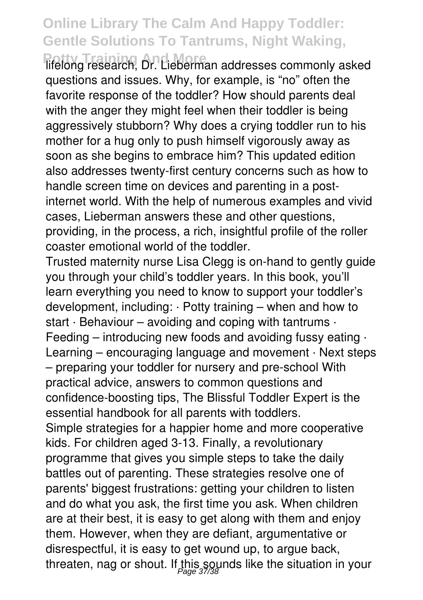**Tifelong research, Dr. Lieberman addresses commonly asked** questions and issues. Why, for example, is "no" often the favorite response of the toddler? How should parents deal with the anger they might feel when their toddler is being aggressively stubborn? Why does a crying toddler run to his mother for a hug only to push himself vigorously away as soon as she begins to embrace him? This updated edition also addresses twenty-first century concerns such as how to handle screen time on devices and parenting in a postinternet world. With the help of numerous examples and vivid cases, Lieberman answers these and other questions, providing, in the process, a rich, insightful profile of the roller coaster emotional world of the toddler.

Trusted maternity nurse Lisa Clegg is on-hand to gently guide you through your child's toddler years. In this book, you'll learn everything you need to know to support your toddler's development, including: · Potty training – when and how to start  $\cdot$  Behaviour – avoiding and coping with tantrums  $\cdot$ Feeding – introducing new foods and avoiding fussy eating  $\cdot$ Learning – encouraging language and movement · Next steps – preparing your toddler for nursery and pre-school With practical advice, answers to common questions and confidence-boosting tips, The Blissful Toddler Expert is the essential handbook for all parents with toddlers. Simple strategies for a happier home and more cooperative kids. For children aged 3-13. Finally, a revolutionary programme that gives you simple steps to take the daily battles out of parenting. These strategies resolve one of parents' biggest frustrations: getting your children to listen and do what you ask, the first time you ask. When children are at their best, it is easy to get along with them and enjoy them. However, when they are defiant, argumentative or disrespectful, it is easy to get wound up, to argue back, threaten, nag or shout. If this sounds like the situation in your